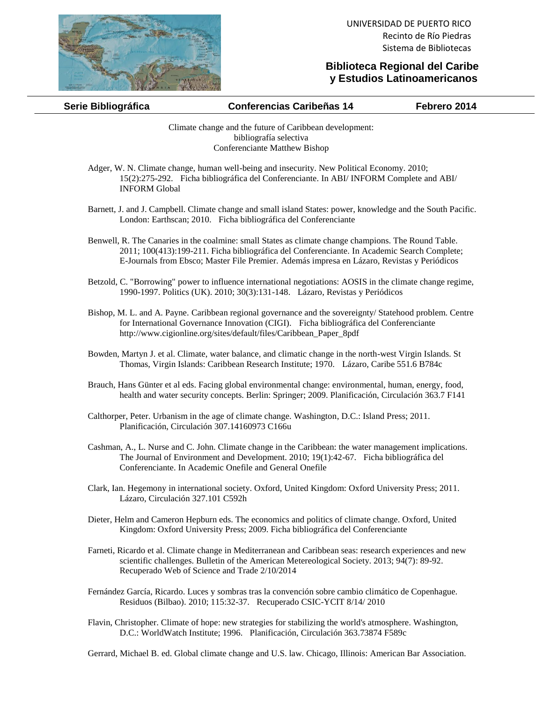

## **Biblioteca Regional del Caribe y Estudios Latinoamericanos**

| Serie Bibliográfica | <b>Conferencias Caribeñas 14</b> | Febrero 2014 |
|---------------------|----------------------------------|--------------|
|                     |                                  |              |

Climate change and the future of Caribbean development: bibliografía selectiva Conferenciante Matthew Bishop

- Adger, W. N. Climate change, human well-being and insecurity. New Political Economy. 2010; 15(2):275-292. Ficha bibliográfica del Conferenciante. In ABI/ INFORM Complete and ABI/ INFORM Global
- Barnett, J. and J. Campbell. Climate change and small island States: power, knowledge and the South Pacific. London: Earthscan; 2010. Ficha bibliográfica del Conferenciante
- Benwell, R. The Canaries in the coalmine: small States as climate change champions. The Round Table. 2011; 100(413):199-211. Ficha bibliográfica del Conferenciante. In Academic Search Complete; E-Journals from Ebsco; Master File Premier. Además impresa en Lázaro, Revistas y Periódicos
- Betzold, C. "Borrowing" power to influence international negotiations: AOSIS in the climate change regime, 1990-1997. Politics (UK). 2010; 30(3):131-148. Lázaro, Revistas y Periódicos
- Bishop, M. L. and A. Payne. Caribbean regional governance and the sovereignty/ Statehood problem. Centre for International Governance Innovation (CIGI). Ficha bibliográfica del Conferenciante http://www.cigionline.org/sites/default/files/Caribbean\_Paper\_8pdf
- Bowden, Martyn J. et al. Climate, water balance, and climatic change in the north-west Virgin Islands. St Thomas, Virgin Islands: Caribbean Research Institute; 1970. Lázaro, Caribe 551.6 B784c
- Brauch, Hans Günter et al eds. Facing global environmental change: environmental, human, energy, food, health and water security concepts. Berlin: Springer; 2009. Planificación, Circulación 363.7 F141
- Calthorper, Peter. Urbanism in the age of climate change. Washington, D.C.: Island Press; 2011. Planificación, Circulación 307.14160973 C166u
- Cashman, A., L. Nurse and C. John. Climate change in the Caribbean: the water management implications. The Journal of Environment and Development. 2010; 19(1):42-67. Ficha bibliográfica del Conferenciante. In Academic Onefile and General Onefile
- Clark, Ian. Hegemony in international society. Oxford, United Kingdom: Oxford University Press; 2011. Lázaro, Circulación 327.101 C592h
- Dieter, Helm and Cameron Hepburn eds. The economics and politics of climate change. Oxford, United Kingdom: Oxford University Press; 2009. Ficha bibliográfica del Conferenciante
- Farneti, Ricardo et al. Climate change in Mediterranean and Caribbean seas: research experiences and new scientific challenges. Bulletin of the American Metereological Society. 2013; 94(7): 89-92. Recuperado Web of Science and Trade 2/10/2014
- Fernández García, Ricardo. Luces y sombras tras la convención sobre cambio climático de Copenhague. Residuos (Bilbao). 2010; 115:32-37. Recuperado CSIC-YCIT 8/14/ 2010
- Flavin, Christopher. Climate of hope: new strategies for stabilizing the world's atmosphere. Washington, D.C.: WorldWatch Institute; 1996. Planificación, Circulación 363.73874 F589c

Gerrard, Michael B. ed. Global climate change and U.S. law. Chicago, Illinois: American Bar Association.